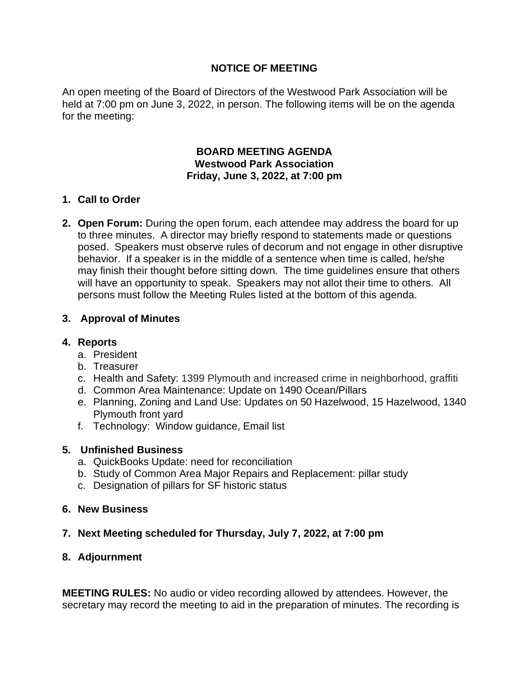# **NOTICE OF MEETING**

An open meeting of the Board of Directors of the Westwood Park Association will be held at 7:00 pm on June 3, 2022, in person. The following items will be on the agenda for the meeting:

#### **BOARD MEETING AGENDA Westwood Park Association Friday, June 3, 2022, at 7:00 pm**

# **1. Call to Order**

**2. Open Forum:** During the open forum, each attendee may address the board for up to three minutes. A director may briefly respond to statements made or questions posed. Speakers must observe rules of decorum and not engage in other disruptive behavior. If a speaker is in the middle of a sentence when time is called, he/she may finish their thought before sitting down. The time guidelines ensure that others will have an opportunity to speak. Speakers may not allot their time to others. All persons must follow the Meeting Rules listed at the bottom of this agenda.

# **3. Approval of Minutes**

### **4. Reports**

- a. President
- b. Treasurer
- c. Health and Safety: 1399 Plymouth and increased crime in neighborhood, graffiti
- d. Common Area Maintenance: Update on 1490 Ocean/Pillars
- e. Planning, Zoning and Land Use: Updates on 50 Hazelwood, 15 Hazelwood, 1340 Plymouth front yard
- f. Technology: Window guidance, Email list

### **5. Unfinished Business**

- a. QuickBooks Update: need for reconciliation
- b. Study of Common Area Major Repairs and Replacement: pillar study
- c. Designation of pillars for SF historic status

# **6. New Business**

### **7. Next Meeting scheduled for Thursday, July 7, 2022, at 7:00 pm**

### **8. Adjournment**

**MEETING RULES:** No audio or video recording allowed by attendees. However, the secretary may record the meeting to aid in the preparation of minutes. The recording is